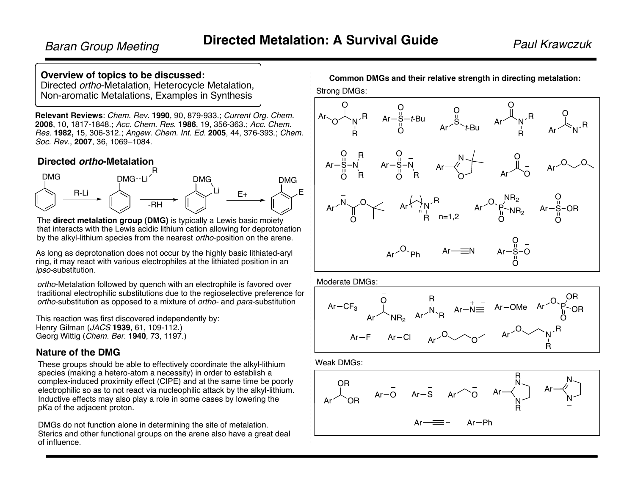### **Overview of topics to be discussed:**

Directed ortho-Metalation, Heterocycle Metalation, Non-aromatic Metalations, Examples in Synthesis

**Relevant Reviews**: Chem. Rev. **1990**, 90, 879-933.; Current Org. Chem. **2006**, 10, 1817-1848.; Acc. Chem. Res. **1986**, 19, 356-363.; Acc. Chem. Res. **1982,** 15, 306-312.; Angew. Chem. Int. Ed. **2005**, 44, 376-393.; Chem. Soc. Rev., **2007**, 36, 1069–1084.

### **Directed ortho-Metalation**



The **direct metalation group (DMG)** is typically a Lewis basic moiety that interacts with the Lewis acidic lithium cation allowing for deprotonation by the alkyl-lithium species from the nearest ortho-position on the arene.

As long as deprotonation does not occur by the highly basic lithiated-aryl ring, it may react with various electrophiles at the lithiated position in an ipso-substitution.

ortho-Metalation followed by quench with an electrophile is favored over traditional electrophilic substitutions due to the regioselective preference for ortho-substitution as opposed to a mixture of ortho- and para-substitution

This reaction was first discovered independently by: Henry Gilman (JACS **1939**, 61, 109-112.) Georg Wittig (Chem. Ber. **1940**, 73, 1197.)

### **Nature of the DMG**

These groups should be able to effectively coordinate the alkyl-lithium species (making a hetero-atom a necessity) in order to establish a complex-induced proximity effect (CIPE) and at the same time be poorly electrophilic so as to not react via nucleophilic attack by the alkyl-lithium. Inductive effects may also play a role in some cases by lowering the pKa of the adjacent proton.

DMGs do not function alone in determining the site of metalation. Sterics and other functional groups on the arene also have a great deal of influence.

**Common DMGs and their relative strength in directing metalation:**

Strong DMGs:



Moderate DMGs:



Weak DMGs:

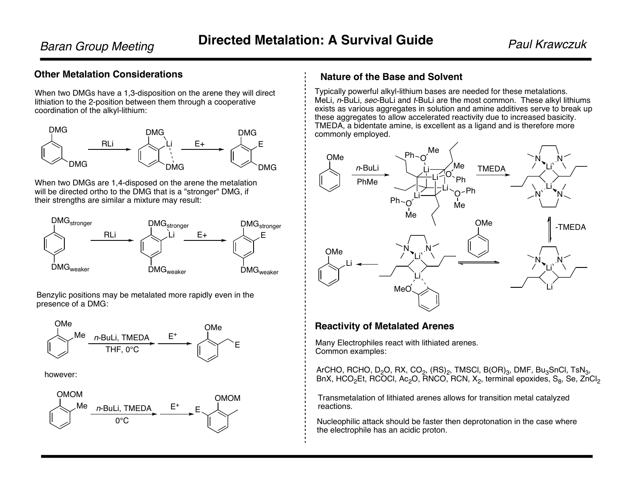# **Other Metalation Considerations**

When two DMGs have a 1,3-disposition on the arene they will direct lithiation to the 2-position between them through a cooperative coordination of the alkyl-lithium:



When two DMGs are 1,4-disposed on the arene the metalation will be directed ortho to the DMG that is a "stronger" DMG, if their strengths are similar a mixture may result:



Benzylic positions may be metalated more rapidly even in the presence of a DMG:



however:



## **Nature of the Base and Solvent**

Typically powerful alkyl-lithium bases are needed for these metalations. MeLi, n-BuLi, sec-BuLi and t-BuLi are the most common. These alkyl lithiums exists as various aggregates in solution and amine additives serve to break up these aggregates to allow accelerated reactivity due to increased basicity. TMEDA, a bidentate amine, is excellent as a ligand and is therefore more commonly employed.



### **Reactivity of Metalated Arenes**

Many Electrophiles react with lithiated arenes. Common examples:

ArCHO, RCHO, D<sub>2</sub>O, RX, CO<sub>2</sub>,  $(RS)_2$ , TMSCI, B(OR)<sub>3</sub>, DMF, Bu<sub>3</sub>SnCI, TsN<sub>3</sub>, BnX, HCO $_2$ Et, RCOCl, Ac $_2$ O, RNCO, RCN, X $_2$ , terminal epoxides, S $_8$ , Se, ZnCl $_2$ 

Transmetalation of lithiated arenes allows for transition metal catalyzed reactions.

Nucleophilic attack should be faster then deprotonation in the case where the electrophile has an acidic proton.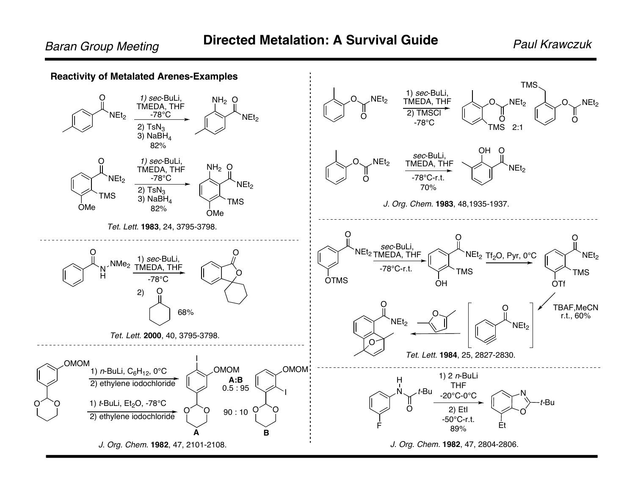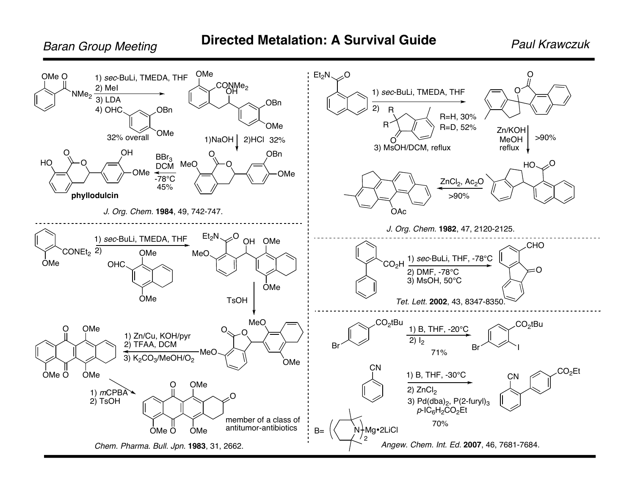**Baran Group Meeting** 

**Paul Krawczuk** 

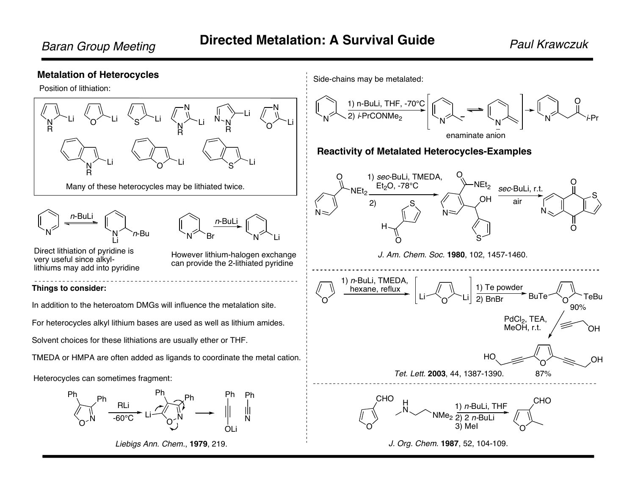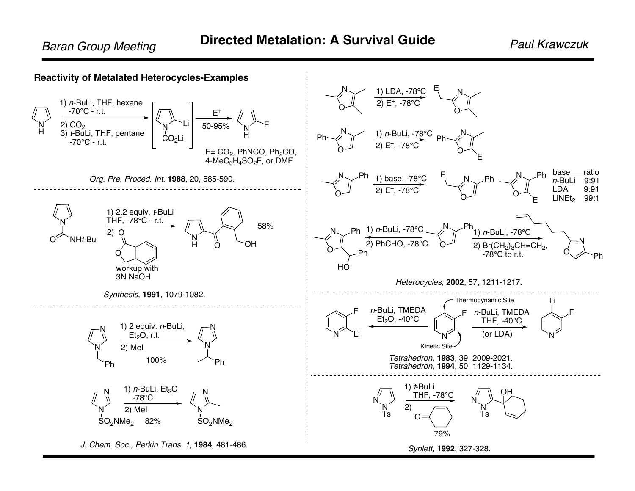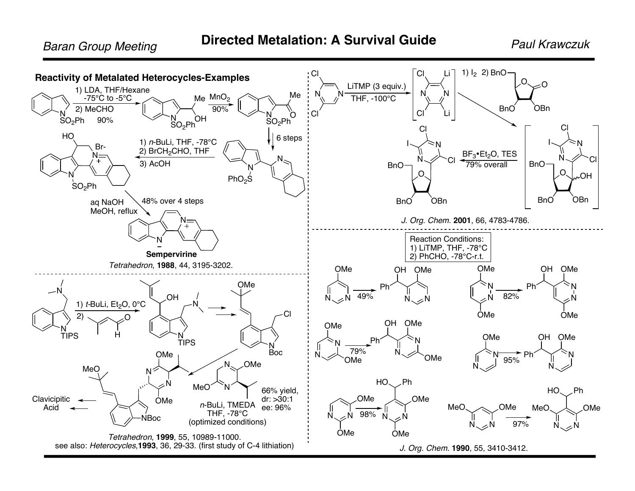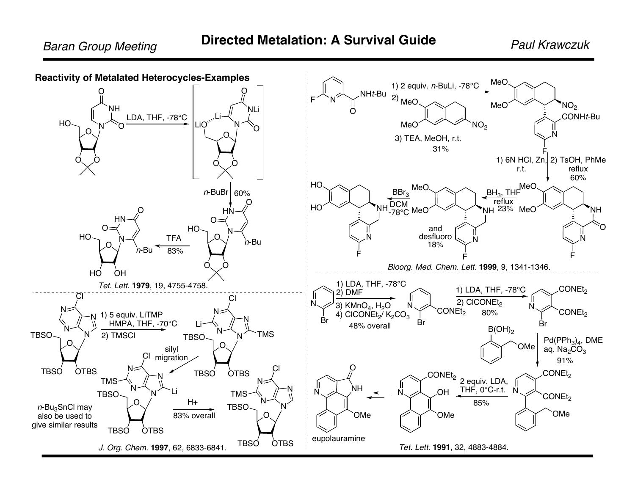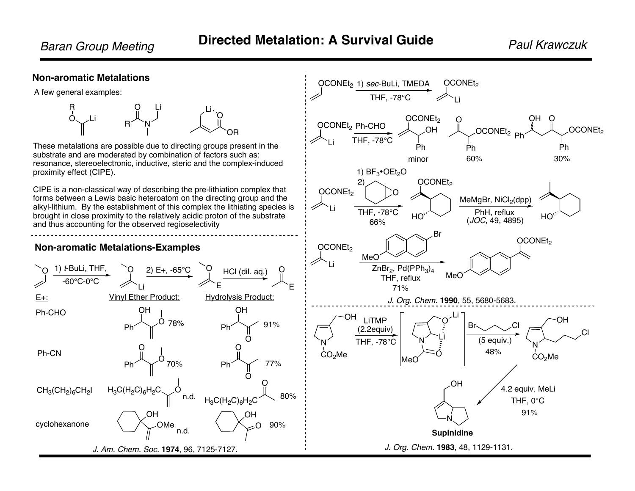OCONEt<sub>2</sub> Ph-CHO

THF, -78°C

1)  $BF_3$ •OEt<sub>2</sub>O

Li

OCONEt<sub>2</sub>

Li

OCONEt<sub>2</sub> 1) sec-BuLi, TMEDA OCONEt<sub>2</sub>

O

THF Li , -78°C

OCONEt<sub>2</sub> OH

Ph

OCONEt<sub>2</sub>

OCONEt<sub>2</sub>

Ph

O

OH

OCONEt<sub>2 Ph</sub>

minor 60% 30%

MeMgBr, NiCl 2(dpp)

Ph

 $\Omega$ 

#### **Non-aromatic Metalations**

A few general examples:



These metalations are possible due to directing groups present in the substrate and are moderated by combination of factors such as: resonance, stereoelectronic, inductive, steric and the complex-induced proximity effect (CIPE).

CIPE is a non-classical way of describing the pre-lithiation complex that forms between a Lewis basic heteroatom on the directing group and the alkyl-lithium. By the establishment of this complex the lithiating species is brought in close proximity to the relatively acidic proton of the substrate and thus accounting for the observed regioselectivity